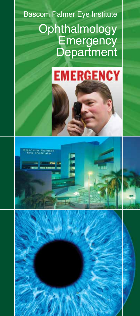# Bascom Palmer Eye Institute **Ophthalmology Emergency Department**



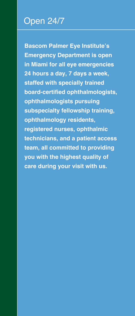## Open 24/7

**Bascom Palmer Eye Institute's Emergency Department is open in Miami for all eye emergencies 24 hours a day, 7 days a week, staffed with specially trained board-certified ophthalmologists, ophthalmologists pursuing subspecialty fellowship training, ophthalmology residents, registered nurses, ophthalmic technicians, and a patient access team, all committed to providing you with the highest quality of care during your visit with us.**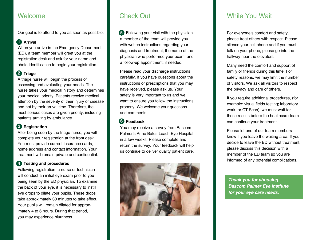### Welcome

Our goal is to attend to you as soon as possible.

#### **1** Arrival

When you arrive in the Emergency Department (ED), a team member will greet you at the registration desk and ask for your name and photo identification to begin your registration.

#### **2 Triage**

A triage nurse will begin the process of assessing and evaluating your needs. The nurse takes your medical history and determines your medical priority. Patients receive medical attention by the severity of their injury or disease and not by their arrival time. Therefore, the most serious cases are given priority, including patients arriving by ambulance.

#### **3 Registration**

After being seen by the triage nurse, you will complete your registration at the front desk. You must provide current insurance cards, home address and contact information. Your treatment will remain private and confidential.

#### **4 Testing and procedures**

Following registration, a nurse or technician will conduct an initial eye exam prior to you being seen by the ED physician. To examine the back of your eye, it is necessary to instill eye drops to dilate your pupils. These drops take approximately 30 minutes to take effect. Your pupils will remain dilated for approximately 4 to 6 hours. During that period, you may experience blurriness.

# Check Out

**5** Following your visit with the physician, a member of the team will provide you with written instructions regarding your diagnosis and treatment, the name of the physician who performed your exam, and a follow-up appointment, if needed.

Please read your discharge instructions carefully. If you have questions about the instructions or prescriptions that you may have received, please ask us. Your safety is very important to us and we want to ensure you follow the instructions properly. We welcome your questions and comments.

#### **6 Feedback**

You may receive a survey from Bascom Palmer's Anne Bates Leach Eye Hospital in a few weeks. Please complete and return the survey. Your feedback will help us continue to deliver quality patient care.



# While You Wait

For everyone's comfort and safety, please treat others with respect. Please silence your cell phone and if you must talk on your phone, please go into the hallway near the elevators.

Many need the comfort and support of family or friends during this time. For safety reasons, we may limit the number of visitors. We ask all visitors to respect the privacy and care of others.

If you require additional procedures, (for example: visual fields testing; laboratory work; or CT Scan), we must wait for these results before the healthcare team can continue your treatment.

Please let one of our team members know if you leave the waiting area. If you decide to leave the ED without treatment, please discuss this decision with a member of the ED team so you are informed of any potential complications.

*Thank you for choosing Bascom Palmer Eye Institute for your eye care needs.*